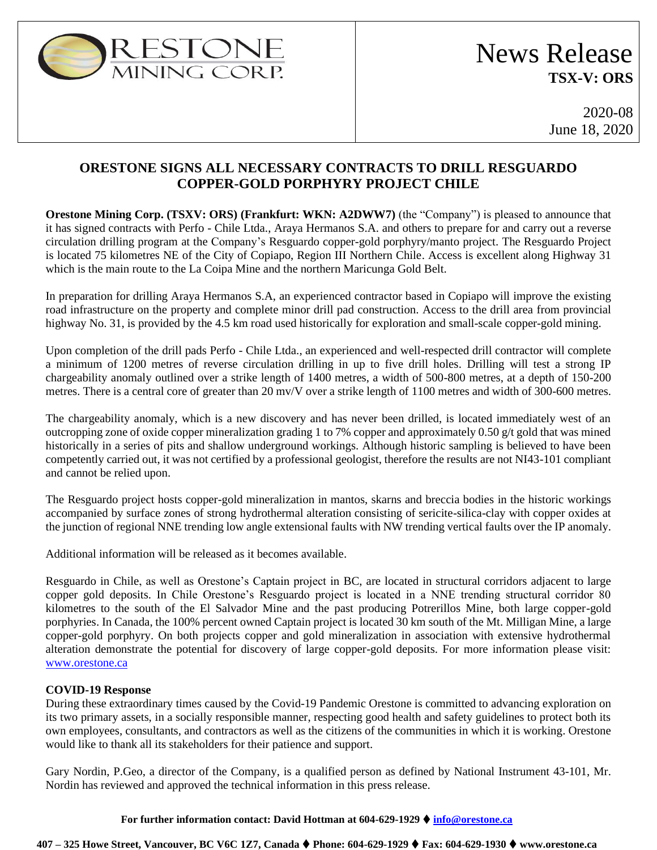

# News Release **TSX-V: ORS**

2020-08 June 18, 2020

# **ORESTONE SIGNS ALL NECESSARY CONTRACTS TO DRILL RESGUARDO COPPER-GOLD PORPHYRY PROJECT CHILE**

**Orestone Mining Corp. (TSXV: ORS) (Frankfurt: WKN: A2DWW7)** (the "Company") is pleased to announce that it has signed contracts with Perfo - Chile Ltda., Araya Hermanos S.A. and others to prepare for and carry out a reverse circulation drilling program at the Company's Resguardo copper-gold porphyry/manto project. The Resguardo Project is located 75 kilometres NE of the City of Copiapo, Region III Northern Chile. Access is excellent along Highway 31 which is the main route to the La Coipa Mine and the northern Maricunga Gold Belt.

In preparation for drilling Araya Hermanos S.A, an experienced contractor based in Copiapo will improve the existing road infrastructure on the property and complete minor drill pad construction. Access to the drill area from provincial highway No. 31, is provided by the 4.5 km road used historically for exploration and small-scale copper-gold mining.

Upon completion of the drill pads Perfo - Chile Ltda., an experienced and well-respected drill contractor will complete a minimum of 1200 metres of reverse circulation drilling in up to five drill holes. Drilling will test a strong IP chargeability anomaly outlined over a strike length of 1400 metres, a width of 500-800 metres, at a depth of 150-200 metres. There is a central core of greater than 20 mv/V over a strike length of 1100 metres and width of 300-600 metres.

The chargeability anomaly, which is a new discovery and has never been drilled, is located immediately west of an outcropping zone of oxide copper mineralization grading 1 to 7% copper and approximately 0.50 g/t gold that was mined historically in a series of pits and shallow underground workings. Although historic sampling is believed to have been competently carried out, it was not certified by a professional geologist, therefore the results are not NI43-101 compliant and cannot be relied upon.

The Resguardo project hosts copper-gold mineralization in mantos, skarns and breccia bodies in the historic workings accompanied by surface zones of strong hydrothermal alteration consisting of sericite-silica-clay with copper oxides at the junction of regional NNE trending low angle extensional faults with NW trending vertical faults over the IP anomaly.

Additional information will be released as it becomes available.

Resguardo in Chile, as well as Orestone's Captain project in BC, are located in structural corridors adjacent to large copper gold deposits. In Chile Orestone's Resguardo project is located in a NNE trending structural corridor 80 kilometres to the south of the El Salvador Mine and the past producing Potrerillos Mine, both large copper-gold porphyries. In Canada, the 100% percent owned Captain project is located 30 km south of the Mt. Milligan Mine, a large copper-gold porphyry. On both projects copper and gold mineralization in association with extensive hydrothermal alteration demonstrate the potential for discovery of large copper-gold deposits. For more information please visit: [www.orestone.ca](http://www.orestone.ca/)

## **COVID-19 Response**

During these extraordinary times caused by the Covid-19 Pandemic Orestone is committed to advancing exploration on its two primary assets, in a socially responsible manner, respecting good health and safety guidelines to protect both its own employees, consultants, and contractors as well as the citizens of the communities in which it is working. Orestone would like to thank all its stakeholders for their patience and support.

Gary Nordin, P.Geo, a director of the Company, is a qualified person as defined by National Instrument 43-101, Mr. Nordin has reviewed and approved the technical information in this press release.

#### **For further information contact: David Hottman at 604-629-1929** ⧫ **[info@orestone.ca](mailto:info@orestone.ca)**